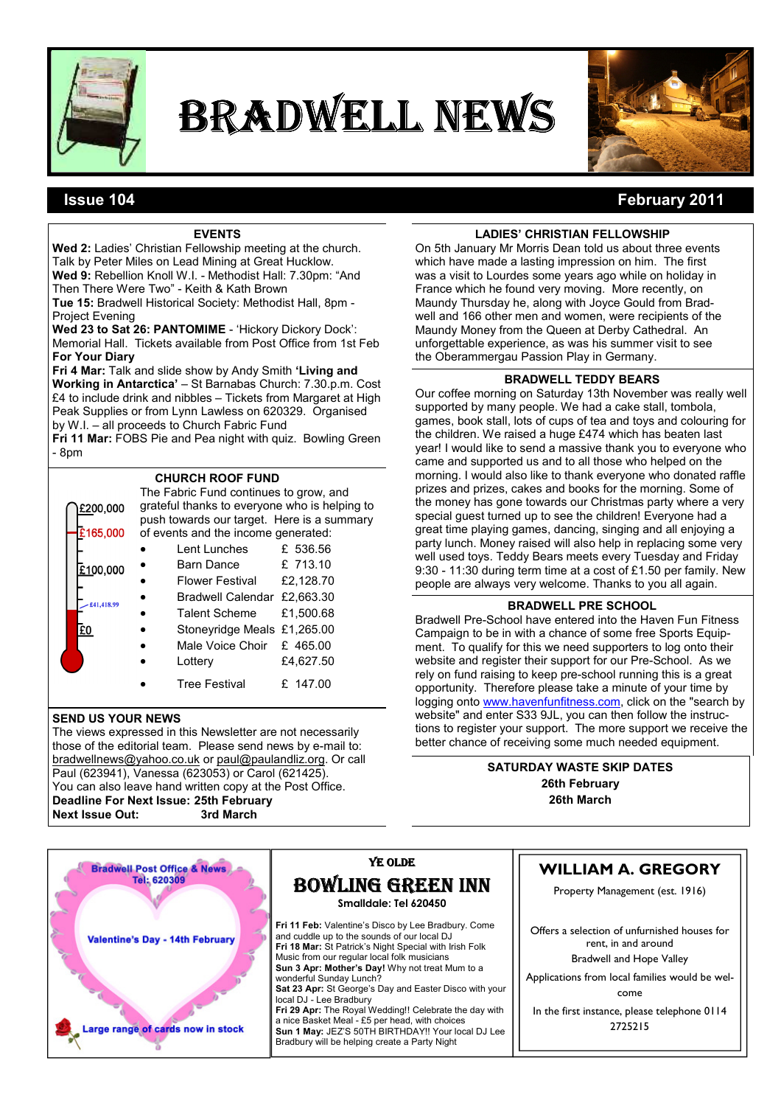

# BRADWELL NEWS



# Issue 104 February 2011

## **EVENTS**

Wed 2: Ladies' Christian Fellowship meeting at the church. Talk by Peter Miles on Lead Mining at Great Hucklow. Wed 9: Rebellion Knoll W.I. - Methodist Hall: 7.30pm: "And Then There Were Two" - Keith & Kath Brown

Tue 15: Bradwell Historical Society: Methodist Hall, 8pm - Project Evening

Wed 23 to Sat 26: PANTOMIME - 'Hickory Dickory Dock': Memorial Hall. Tickets available from Post Office from 1st Feb For Your Diary

Fri 4 Mar: Talk and slide show by Andy Smith 'Living and Working in Antarctica' – St Barnabas Church: 7.30.p.m. Cost £4 to include drink and nibbles – Tickets from Margaret at High Peak Supplies or from Lynn Lawless on 620329. Organised by W.I. – all proceeds to Church Fabric Fund

Fri 11 Mar: FOBS Pie and Pea night with quiz. Bowling Green - 8pm

## CHURCH ROOF FUND

| £200,000   | The Fabric Fund continues to grow, and<br>grateful thanks to everyone who is helping to<br>push towards our target. Here is a summary |                             |           |  |  |
|------------|---------------------------------------------------------------------------------------------------------------------------------------|-----------------------------|-----------|--|--|
| £165,000   | of events and the income generated:                                                                                                   |                             |           |  |  |
|            |                                                                                                                                       | Lent Lunches                | £ 536.56  |  |  |
| £100,000   |                                                                                                                                       | Barn Dance                  | £ 713.10  |  |  |
|            |                                                                                                                                       | Flower Festival             | £2,128.70 |  |  |
| £41,418.99 |                                                                                                                                       | Bradwell Calendar £2,663,30 |           |  |  |
|            |                                                                                                                                       | <b>Talent Scheme</b>        | £1.500.68 |  |  |
| £0         |                                                                                                                                       | Stoneyridge Meals £1,265.00 |           |  |  |
|            |                                                                                                                                       | Male Voice Choir £ 465.00   |           |  |  |
|            |                                                                                                                                       | Lottery                     | £4.627.50 |  |  |
|            |                                                                                                                                       | <b>Tree Festival</b>        | £ 147.00  |  |  |

### SEND US YOUR NEWS

The views expressed in this Newsletter are not necessarily those of the editorial team. Please send news by e-mail to: bradwellnews@yahoo.co.uk or paul@paulandliz.org. Or call Paul (623941), Vanessa (623053) or Carol (621425). You can also leave hand written copy at the Post Office. Deadline For Next Issue: 25th February Next Issue Out: 3rd March

## LADIES' CHRISTIAN FELLOWSHIP

On 5th January Mr Morris Dean told us about three events which have made a lasting impression on him. The first was a visit to Lourdes some years ago while on holiday in France which he found very moving. More recently, on Maundy Thursday he, along with Joyce Gould from Bradwell and 166 other men and women, were recipients of the Maundy Money from the Queen at Derby Cathedral. An unforgettable experience, as was his summer visit to see the Oberammergau Passion Play in Germany.

#### BRADWELL TEDDY BEARS

Our coffee morning on Saturday 13th November was really well supported by many people. We had a cake stall, tombola, games, book stall, lots of cups of tea and toys and colouring for the children. We raised a huge £474 which has beaten last year! I would like to send a massive thank you to everyone who came and supported us and to all those who helped on the morning. I would also like to thank everyone who donated raffle prizes and prizes, cakes and books for the morning. Some of the money has gone towards our Christmas party where a very special guest turned up to see the children! Everyone had a great time playing games, dancing, singing and all enjoying a party lunch. Money raised will also help in replacing some very well used toys. Teddy Bears meets every Tuesday and Friday 9:30 - 11:30 during term time at a cost of £1.50 per family. New people are always very welcome. Thanks to you all again.

## BRADWELL PRE SCHOOL

Bradwell Pre-School have entered into the Haven Fun Fitness Campaign to be in with a chance of some free Sports Equipment. To qualify for this we need supporters to log onto their website and register their support for our Pre-School. As we rely on fund raising to keep pre-school running this is a great opportunity. Therefore please take a minute of your time by logging onto www.havenfunfitness.com, click on the "search by website" and enter S33 9JL, you can then follow the instructions to register your support. The more support we receive the better chance of receiving some much needed equipment.

> SATURDAY WASTE SKIP DATES 26th February 26th March

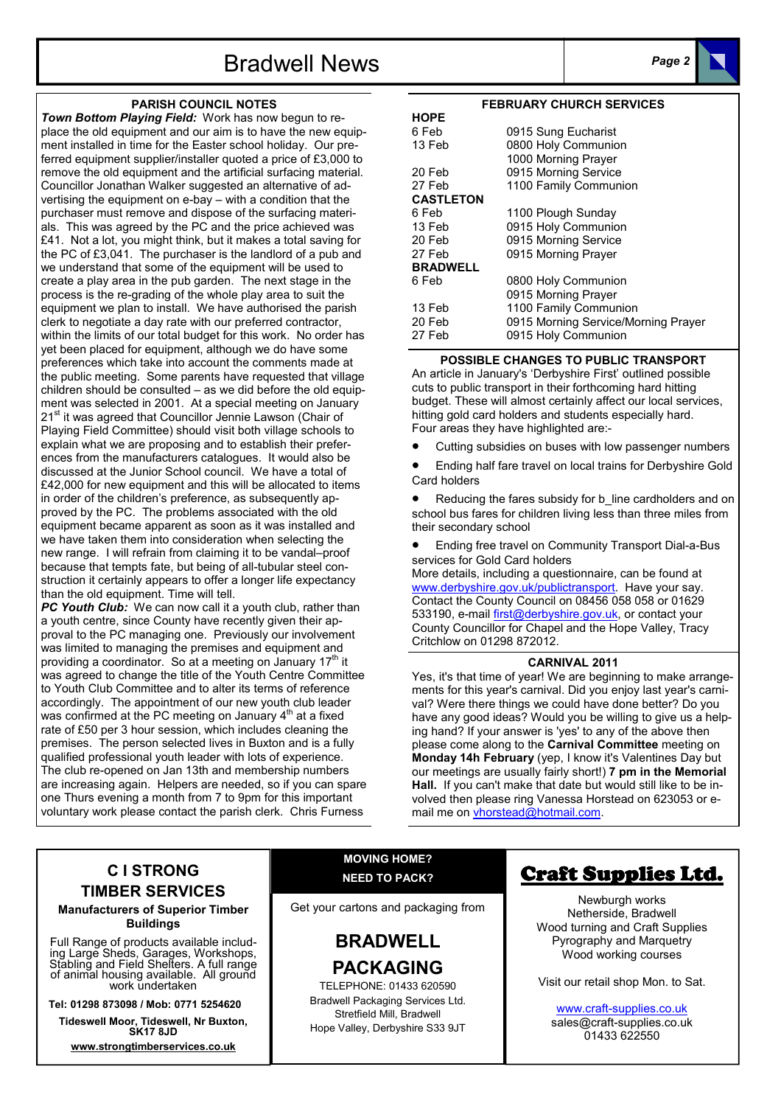# Bradwell News **Page 2**

#### PARISH COUNCIL NOTES

Town Bottom Playing Field: Work has now begun to replace the old equipment and our aim is to have the new equipment installed in time for the Easter school holiday. Our preferred equipment supplier/installer quoted a price of £3,000 to remove the old equipment and the artificial surfacing material. Councillor Jonathan Walker suggested an alternative of advertising the equipment on e-bay – with a condition that the purchaser must remove and dispose of the surfacing materials. This was agreed by the PC and the price achieved was £41. Not a lot, you might think, but it makes a total saving for the PC of £3,041. The purchaser is the landlord of a pub and we understand that some of the equipment will be used to create a play area in the pub garden. The next stage in the process is the re-grading of the whole play area to suit the equipment we plan to install. We have authorised the parish clerk to negotiate a day rate with our preferred contractor, within the limits of our total budget for this work. No order has yet been placed for equipment, although we do have some preferences which take into account the comments made at the public meeting. Some parents have requested that village children should be consulted – as we did before the old equipment was selected in 2001. At a special meeting on January 21<sup>st</sup> it was agreed that Councillor Jennie Lawson (Chair of Playing Field Committee) should visit both village schools to explain what we are proposing and to establish their preferences from the manufacturers catalogues. It would also be discussed at the Junior School council. We have a total of £42,000 for new equipment and this will be allocated to items in order of the children's preference, as subsequently approved by the PC. The problems associated with the old equipment became apparent as soon as it was installed and we have taken them into consideration when selecting the new range. I will refrain from claiming it to be vandal–proof because that tempts fate, but being of all-tubular steel construction it certainly appears to offer a longer life expectancy than the old equipment. Time will tell.

**PC Youth Club:** We can now call it a youth club, rather than a youth centre, since County have recently given their approval to the PC managing one. Previously our involvement was limited to managing the premises and equipment and providing a coordinator. So at a meeting on January 17<sup>th</sup> it was agreed to change the title of the Youth Centre Committee to Youth Club Committee and to alter its terms of reference accordingly. The appointment of our new youth club leader was confirmed at the PC meeting on January 4<sup>th</sup> at a fixed rate of £50 per 3 hour session, which includes cleaning the premises. The person selected lives in Buxton and is a fully qualified professional youth leader with lots of experience. The club re-opened on Jan 13th and membership numbers are increasing again. Helpers are needed, so if you can spare one Thurs evening a month from 7 to 9pm for this important voluntary work please contact the parish clerk. Chris Furness

#### FEBRUARY CHURCH SERVICES

| <b>HOPE</b>      |                                     |
|------------------|-------------------------------------|
| 6 Feb            | 0915 Sung Eucharist                 |
| 13 Feb           | 0800 Holy Communion                 |
|                  | 1000 Morning Prayer                 |
| 20 Feb           | 0915 Morning Service                |
| 27 Feb           | 1100 Family Communion               |
| <b>CASTLETON</b> |                                     |
| 6 Feb            | 1100 Plough Sunday                  |
| 13 Feb           | 0915 Holy Communion                 |
| 20 Feb           | 0915 Morning Service                |
| 27 Feb           | 0915 Morning Prayer                 |
| <b>BRADWELL</b>  |                                     |
| 6 Feb            | 0800 Holy Communion                 |
|                  | 0915 Morning Prayer                 |
| 13 Feb           | 1100 Family Communion               |
| 20 Feb           | 0915 Morning Service/Morning Prayer |
| 27 Feb           | 0915 Holy Communion                 |
|                  |                                     |

#### POSSIBLE CHANGES TO PUBLIC TRANSPORT

An article in January's 'Derbyshire First' outlined possible cuts to public transport in their forthcoming hard hitting budget. These will almost certainly affect our local services, hitting gold card holders and students especially hard. Four areas they have highlighted are:-

Cutting subsidies on buses with low passenger numbers

• Ending half fare travel on local trains for Derbyshire Gold Card holders

Reducing the fares subsidy for b\_line cardholders and on school bus fares for children living less than three miles from their secondary school

• Ending free travel on Community Transport Dial-a-Bus services for Gold Card holders

More details, including a questionnaire, can be found at www.derbyshire.gov.uk/publictransport. Have your say. Contact the County Council on 08456 058 058 or 01629 533190, e-mail first@derbyshire.gov.uk, or contact your County Councillor for Chapel and the Hope Valley, Tracy Critchlow on 01298 872012.

#### CARNIVAL 2011

Yes, it's that time of year! We are beginning to make arrangements for this year's carnival. Did you enjoy last year's carnival? Were there things we could have done better? Do you have any good ideas? Would you be willing to give us a helping hand? If your answer is 'yes' to any of the above then please come along to the Carnival Committee meeting on Monday 14h February (yep, I know it's Valentines Day but our meetings are usually fairly short!) 7 pm in the Memorial Hall. If you can't make that date but would still like to be involved then please ring Vanessa Horstead on 623053 or email me on vhorstead@hotmail.com.

# C I STRONG TIMBER SERVICES

Manufacturers of Superior Timber Buildings

Full Range of products available including Large Sheds, Garages, Workshops, Stabling and Field Shelters. A full range of animal housing available. All ground work undertaken

Tel: 01298 873098 / Mob: 0771 5254620

Tideswell Moor, Tideswell, Nr Buxton, SK17 8JD

www.strongtimberservices.co.uk

## MOVING HOME? NEED TO PACK?

Get your cartons and packaging from

# BRADWELL PACKAGING

TELEPHONE: 01433 620590 Bradwell Packaging Services Ltd. Stretfield Mill, Bradwell Hope Valley, Derbyshire S33 9JT

# Craft Supplies Ltd.

Newburgh works Netherside, Bradwell Wood turning and Craft Supplies Pyrography and Marquetry Wood working courses

Visit our retail shop Mon. to Sat.

www.craft-supplies.co.uk sales@craft-supplies.co.uk 01433 622550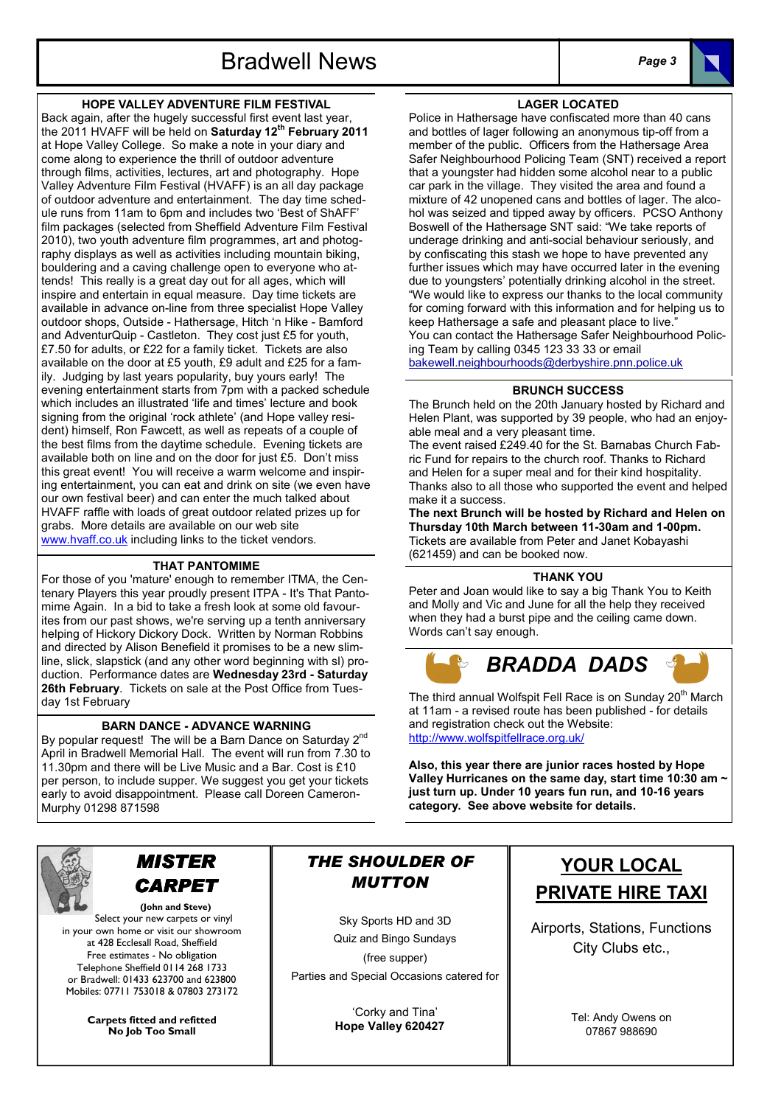## HOPE VALLEY ADVENTURE FILM FESTIVAL

Back again, after the hugely successful first event last year, the 2011 HVAFF will be held on Saturday 12<sup>th</sup> February 2011 at Hope Valley College. So make a note in your diary and come along to experience the thrill of outdoor adventure through films, activities, lectures, art and photography. Hope Valley Adventure Film Festival (HVAFF) is an all day package of outdoor adventure and entertainment. The day time schedule runs from 11am to 6pm and includes two 'Best of ShAFF' film packages (selected from Sheffield Adventure Film Festival 2010), two youth adventure film programmes, art and photography displays as well as activities including mountain biking, bouldering and a caving challenge open to everyone who attends! This really is a great day out for all ages, which will inspire and entertain in equal measure. Day time tickets are available in advance on-line from three specialist Hope Valley outdoor shops, Outside - Hathersage, Hitch 'n Hike - Bamford and AdventurQuip - Castleton. They cost just £5 for youth, £7.50 for adults, or £22 for a family ticket. Tickets are also available on the door at £5 youth, £9 adult and £25 for a family. Judging by last years popularity, buy yours early! The evening entertainment starts from 7pm with a packed schedule which includes an illustrated 'life and times' lecture and book signing from the original 'rock athlete' (and Hope valley resident) himself, Ron Fawcett, as well as repeats of a couple of the best films from the daytime schedule. Evening tickets are available both on line and on the door for just £5. Don't miss this great event! You will receive a warm welcome and inspiring entertainment, you can eat and drink on site (we even have our own festival beer) and can enter the much talked about HVAFF raffle with loads of great outdoor related prizes up for grabs. More details are available on our web site www.hvaff.co.uk including links to the ticket vendors.

#### THAT PANTOMIME

For those of you 'mature' enough to remember ITMA, the Centenary Players this year proudly present ITPA - It's That Pantomime Again. In a bid to take a fresh look at some old favourites from our past shows, we're serving up a tenth anniversary helping of Hickory Dickory Dock. Written by Norman Robbins and directed by Alison Benefield it promises to be a new slimline, slick, slapstick (and any other word beginning with sl) production. Performance dates are Wednesday 23rd - Saturday 26th February. Tickets on sale at the Post Office from Tuesday 1st February

## BARN DANCE - ADVANCE WARNING

By popular request! The will be a Barn Dance on Saturday 2<sup>nd</sup> April in Bradwell Memorial Hall. The event will run from 7.30 to 11.30pm and there will be Live Music and a Bar. Cost is £10 per person, to include supper. We suggest you get your tickets early to avoid disappointment. Please call Doreen Cameron-Murphy 01298 871598



# MISTER CARPET

(John and Steve) Select your new carpets or vinyl in your own home or visit our showroom at 428 Ecclesall Road, Sheffield Free estimates - No obligation Telephone Sheffield 0114 268 1733 or Bradwell: 01433 623700 and 623800 Mobiles: 07711 753018 & 07803 273172

> Carpets fitted and refitted No Job Too Small

# THE SHOULDER OF MUTTON

Sky Sports HD and 3D Quiz and Bingo Sundays (free supper) Parties and Special Occasions catered for

> 'Corky and Tina' Hope Valley 620427

#### LAGER LOCATED

Police in Hathersage have confiscated more than 40 cans and bottles of lager following an anonymous tip-off from a member of the public. Officers from the Hathersage Area Safer Neighbourhood Policing Team (SNT) received a report that a youngster had hidden some alcohol near to a public car park in the village. They visited the area and found a mixture of 42 unopened cans and bottles of lager. The alcohol was seized and tipped away by officers. PCSO Anthony Boswell of the Hathersage SNT said: "We take reports of underage drinking and anti-social behaviour seriously, and by confiscating this stash we hope to have prevented any further issues which may have occurred later in the evening due to youngsters' potentially drinking alcohol in the street. "We would like to express our thanks to the local community for coming forward with this information and for helping us to keep Hathersage a safe and pleasant place to live." You can contact the Hathersage Safer Neighbourhood Policing Team by calling 0345 123 33 33 or email bakewell.neighbourhoods@derbyshire.pnn.police.uk

#### BRUNCH SUCCESS

The Brunch held on the 20th January hosted by Richard and Helen Plant, was supported by 39 people, who had an enjoyable meal and a very pleasant time.

The event raised £249.40 for the St. Barnabas Church Fabric Fund for repairs to the church roof. Thanks to Richard and Helen for a super meal and for their kind hospitality. Thanks also to all those who supported the event and helped make it a success.

The next Brunch will be hosted by Richard and Helen on Thursday 10th March between 11-30am and 1-00pm. Tickets are available from Peter and Janet Kobayashi (621459) and can be booked now.

#### THANK YOU

Peter and Joan would like to say a big Thank You to Keith and Molly and Vic and June for all the help they received when they had a burst pipe and the ceiling came down. Words can't say enough.



The third annual Wolfspit Fell Race is on Sunday 20<sup>th</sup> March at 11am - a revised route has been published - for details and registration check out the Website: http://www.wolfspitfellrace.org.uk/

Also, this year there are junior races hosted by Hope Valley Hurricanes on the same day, start time 10:30 am ~ just turn up. Under 10 years fun run, and 10-16 years category. See above website for details.

# YOUR LOCAL PRIVATE HIRE TAXI

Airports, Stations, Functions City Clubs etc.,

> Tel: Andy Owens on 07867 988690